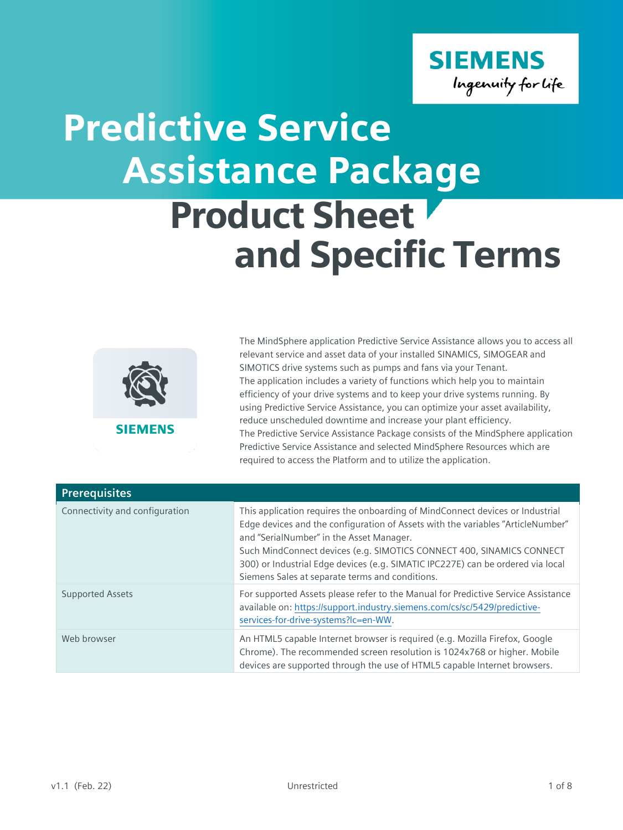

## Product Sheet and Specific Terms Predictive Service Assistance Package



The MindSphere application Predictive Service Assistance allows you to access all relevant service and asset data of your installed SINAMICS, SIMOGEAR and SIMOTICS drive systems such as pumps and fans via your Tenant. The application includes a variety of functions which help you to maintain efficiency of your drive systems and to keep your drive systems running. By using Predictive Service Assistance, you can optimize your asset availability, reduce unscheduled downtime and increase your plant efficiency. The Predictive Service Assistance Package consists of the MindSphere application Predictive Service Assistance and selected MindSphere Resources which are required to access the Platform and to utilize the application.

| <b>Prerequisites</b>           |                                                                                                                                                                                                                                                                                                                                                                                                                             |
|--------------------------------|-----------------------------------------------------------------------------------------------------------------------------------------------------------------------------------------------------------------------------------------------------------------------------------------------------------------------------------------------------------------------------------------------------------------------------|
| Connectivity and configuration | This application requires the onboarding of MindConnect devices or Industrial<br>Edge devices and the configuration of Assets with the variables "ArticleNumber"<br>and "SerialNumber" in the Asset Manager.<br>Such MindConnect devices (e.g. SIMOTICS CONNECT 400, SINAMICS CONNECT<br>300) or Industrial Edge devices (e.g. SIMATIC IPC227E) can be ordered via local<br>Siemens Sales at separate terms and conditions. |
| <b>Supported Assets</b>        | For supported Assets please refer to the Manual for Predictive Service Assistance<br>available on: https://support.industry.siemens.com/cs/sc/5429/predictive-<br>services-for-drive-systems?Ic=en-WW.                                                                                                                                                                                                                      |
| Web browser                    | An HTML5 capable Internet browser is required (e.g. Mozilla Firefox, Google<br>Chrome). The recommended screen resolution is 1024x768 or higher. Mobile<br>devices are supported through the use of HTML5 capable Internet browsers.                                                                                                                                                                                        |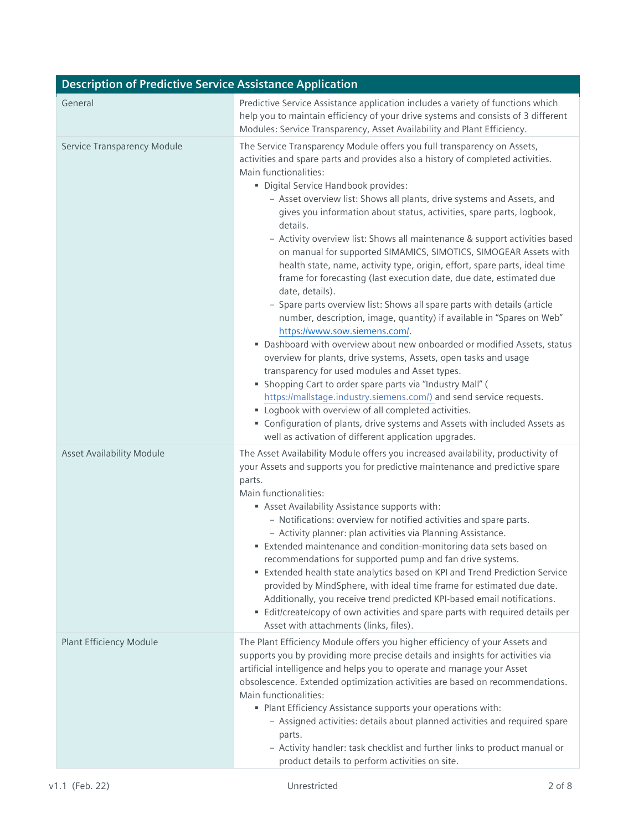| <b>Description of Predictive Service Assistance Application</b> |                                                                                                                                                                                                                                                                                                                                                                                                                                                                                                                                                                                                                                                                                                                                                                                                                                                                                                                                                                                                                                                                                                                                                                                                                                                                                                                                                                                                                                                   |  |
|-----------------------------------------------------------------|---------------------------------------------------------------------------------------------------------------------------------------------------------------------------------------------------------------------------------------------------------------------------------------------------------------------------------------------------------------------------------------------------------------------------------------------------------------------------------------------------------------------------------------------------------------------------------------------------------------------------------------------------------------------------------------------------------------------------------------------------------------------------------------------------------------------------------------------------------------------------------------------------------------------------------------------------------------------------------------------------------------------------------------------------------------------------------------------------------------------------------------------------------------------------------------------------------------------------------------------------------------------------------------------------------------------------------------------------------------------------------------------------------------------------------------------------|--|
| General                                                         | Predictive Service Assistance application includes a variety of functions which<br>help you to maintain efficiency of your drive systems and consists of 3 different<br>Modules: Service Transparency, Asset Availability and Plant Efficiency.                                                                                                                                                                                                                                                                                                                                                                                                                                                                                                                                                                                                                                                                                                                                                                                                                                                                                                                                                                                                                                                                                                                                                                                                   |  |
| Service Transparency Module                                     | The Service Transparency Module offers you full transparency on Assets,<br>activities and spare parts and provides also a history of completed activities.<br>Main functionalities:<br>· Digital Service Handbook provides:<br>- Asset overview list: Shows all plants, drive systems and Assets, and<br>gives you information about status, activities, spare parts, logbook,<br>details.<br>- Activity overview list: Shows all maintenance & support activities based<br>on manual for supported SIMAMICS, SIMOTICS, SIMOGEAR Assets with<br>health state, name, activity type, origin, effort, spare parts, ideal time<br>frame for forecasting (last execution date, due date, estimated due<br>date, details).<br>- Spare parts overview list: Shows all spare parts with details (article<br>number, description, image, quantity) if available in "Spares on Web"<br>https://www.sow.siemens.com/.<br>• Dashboard with overview about new onboarded or modified Assets, status<br>overview for plants, drive systems, Assets, open tasks and usage<br>transparency for used modules and Asset types.<br>" Shopping Cart to order spare parts via "Industry Mall" (<br>https://mallstage.industry.siemens.com/) and send service requests.<br>" Logbook with overview of all completed activities.<br>• Configuration of plants, drive systems and Assets with included Assets as<br>well as activation of different application upgrades. |  |
| <b>Asset Availability Module</b>                                | The Asset Availability Module offers you increased availability, productivity of<br>your Assets and supports you for predictive maintenance and predictive spare<br>parts.<br>Main functionalities:<br>Asset Availability Assistance supports with:<br>- Notifications: overview for notified activities and spare parts.<br>- Activity planner: plan activities via Planning Assistance.<br>Extended maintenance and condition-monitoring data sets based on<br>recommendations for supported pump and fan drive systems.<br>Extended health state analytics based on KPI and Trend Prediction Service<br>provided by MindSphere, with ideal time frame for estimated due date.<br>Additionally, you receive trend predicted KPI-based email notifications.<br>• Edit/create/copy of own activities and spare parts with required details per<br>Asset with attachments (links, files).                                                                                                                                                                                                                                                                                                                                                                                                                                                                                                                                                          |  |
| <b>Plant Efficiency Module</b>                                  | The Plant Efficiency Module offers you higher efficiency of your Assets and<br>supports you by providing more precise details and insights for activities via<br>artificial intelligence and helps you to operate and manage your Asset<br>obsolescence. Extended optimization activities are based on recommendations.<br>Main functionalities:<br>• Plant Efficiency Assistance supports your operations with:<br>- Assigned activities: details about planned activities and required spare<br>parts.<br>- Activity handler: task checklist and further links to product manual or<br>product details to perform activities on site.                                                                                                                                                                                                                                                                                                                                                                                                                                                                                                                                                                                                                                                                                                                                                                                                           |  |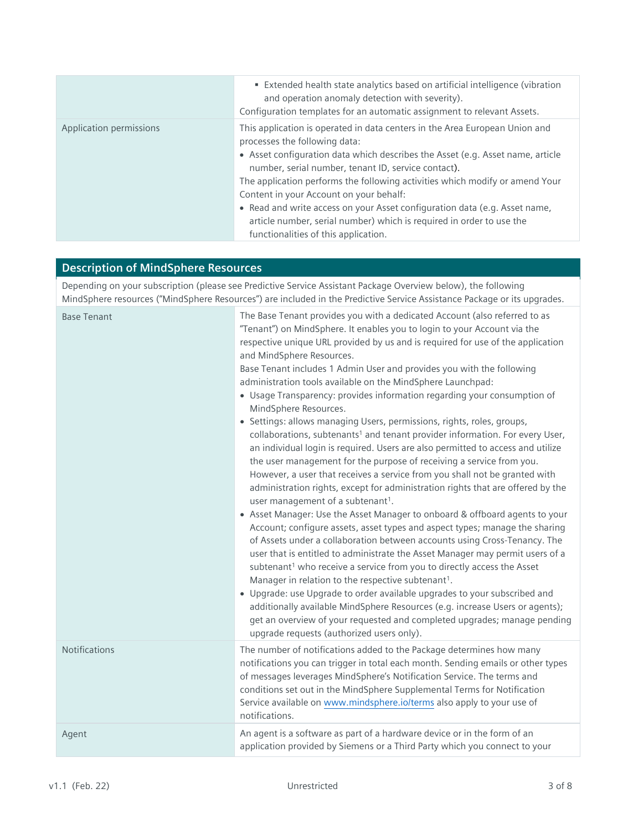|                         | Extended health state analytics based on artificial intelligence (vibration<br>and operation anomaly detection with severity).<br>Configuration templates for an automatic assignment to relevant Assets.                                                                                                                                                                                                                                                                                                                                                                      |
|-------------------------|--------------------------------------------------------------------------------------------------------------------------------------------------------------------------------------------------------------------------------------------------------------------------------------------------------------------------------------------------------------------------------------------------------------------------------------------------------------------------------------------------------------------------------------------------------------------------------|
| Application permissions | This application is operated in data centers in the Area European Union and<br>processes the following data:<br>• Asset configuration data which describes the Asset (e.g. Asset name, article<br>number, serial number, tenant ID, service contact).<br>The application performs the following activities which modify or amend Your<br>Content in your Account on your behalf:<br>• Read and write access on your Asset configuration data (e.g. Asset name,<br>article number, serial number) which is required in order to use the<br>functionalities of this application. |

## **Description of MindSphere Resources**

Depending on your subscription (please see Predictive Service Assistant Package Overview below), the following MindSphere resources ("MindSphere Resources") are included in the Predictive Service Assistance Package or its upgrades.

| <b>Base Tenant</b>   | The Base Tenant provides you with a dedicated Account (also referred to as<br>"Tenant") on MindSphere. It enables you to login to your Account via the<br>respective unique URL provided by us and is required for use of the application<br>and MindSphere Resources.<br>Base Tenant includes 1 Admin User and provides you with the following<br>administration tools available on the MindSphere Launchpad:<br>• Usage Transparency: provides information regarding your consumption of<br>MindSphere Resources.<br>· Settings: allows managing Users, permissions, rights, roles, groups,<br>collaborations, subtenants <sup>1</sup> and tenant provider information. For every User,<br>an individual login is required. Users are also permitted to access and utilize<br>the user management for the purpose of receiving a service from you.<br>However, a user that receives a service from you shall not be granted with<br>administration rights, except for administration rights that are offered by the<br>user management of a subtenant <sup>1</sup> .<br>• Asset Manager: Use the Asset Manager to onboard & offboard agents to your<br>Account; configure assets, asset types and aspect types; manage the sharing<br>of Assets under a collaboration between accounts using Cross-Tenancy. The<br>user that is entitled to administrate the Asset Manager may permit users of a<br>subtenant <sup>1</sup> who receive a service from you to directly access the Asset<br>Manager in relation to the respective subtenant <sup>1</sup> .<br>• Upgrade: use Upgrade to order available upgrades to your subscribed and<br>additionally available MindSphere Resources (e.g. increase Users or agents);<br>get an overview of your requested and completed upgrades; manage pending<br>upgrade requests (authorized users only). |
|----------------------|--------------------------------------------------------------------------------------------------------------------------------------------------------------------------------------------------------------------------------------------------------------------------------------------------------------------------------------------------------------------------------------------------------------------------------------------------------------------------------------------------------------------------------------------------------------------------------------------------------------------------------------------------------------------------------------------------------------------------------------------------------------------------------------------------------------------------------------------------------------------------------------------------------------------------------------------------------------------------------------------------------------------------------------------------------------------------------------------------------------------------------------------------------------------------------------------------------------------------------------------------------------------------------------------------------------------------------------------------------------------------------------------------------------------------------------------------------------------------------------------------------------------------------------------------------------------------------------------------------------------------------------------------------------------------------------------------------------------------------------------------------------------------------------------------------------------------------------------------|
| <b>Notifications</b> | The number of notifications added to the Package determines how many<br>notifications you can trigger in total each month. Sending emails or other types<br>of messages leverages MindSphere's Notification Service. The terms and<br>conditions set out in the MindSphere Supplemental Terms for Notification<br>Service available on www.mindsphere.io/terms also apply to your use of<br>notifications.                                                                                                                                                                                                                                                                                                                                                                                                                                                                                                                                                                                                                                                                                                                                                                                                                                                                                                                                                                                                                                                                                                                                                                                                                                                                                                                                                                                                                                       |
| Agent                | An agent is a software as part of a hardware device or in the form of an<br>application provided by Siemens or a Third Party which you connect to your                                                                                                                                                                                                                                                                                                                                                                                                                                                                                                                                                                                                                                                                                                                                                                                                                                                                                                                                                                                                                                                                                                                                                                                                                                                                                                                                                                                                                                                                                                                                                                                                                                                                                           |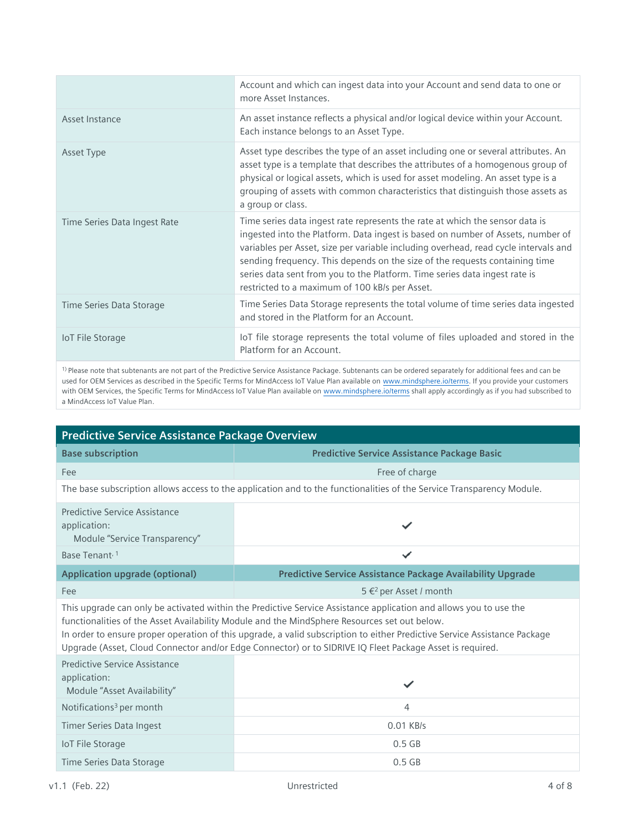|                              | Account and which can ingest data into your Account and send data to one or<br>more Asset Instances.                                                                                                                                                                                                                                                                                                                                                                  |
|------------------------------|-----------------------------------------------------------------------------------------------------------------------------------------------------------------------------------------------------------------------------------------------------------------------------------------------------------------------------------------------------------------------------------------------------------------------------------------------------------------------|
| Asset Instance               | An asset instance reflects a physical and/or logical device within your Account.<br>Each instance belongs to an Asset Type.                                                                                                                                                                                                                                                                                                                                           |
| Asset Type                   | Asset type describes the type of an asset including one or several attributes. An<br>asset type is a template that describes the attributes of a homogenous group of<br>physical or logical assets, which is used for asset modeling. An asset type is a<br>grouping of assets with common characteristics that distinguish those assets as<br>a group or class.                                                                                                      |
| Time Series Data Ingest Rate | Time series data ingest rate represents the rate at which the sensor data is<br>ingested into the Platform. Data ingest is based on number of Assets, number of<br>variables per Asset, size per variable including overhead, read cycle intervals and<br>sending frequency. This depends on the size of the requests containing time<br>series data sent from you to the Platform. Time series data ingest rate is<br>restricted to a maximum of 100 kB/s per Asset. |
| Time Series Data Storage     | Time Series Data Storage represents the total volume of time series data ingested<br>and stored in the Platform for an Account.                                                                                                                                                                                                                                                                                                                                       |
| <b>IoT File Storage</b>      | loT file storage represents the total volume of files uploaded and stored in the<br>Platform for an Account.                                                                                                                                                                                                                                                                                                                                                          |

1) Please note that subtenants are not part of the Predictive Service Assistance Package. Subtenants can be ordered separately for additional fees and can be used for OEM Services as described in the Specific Terms for MindAccess IoT Value Plan available o[n www.mindsphere.io/terms.](http://www.mindsphere.io/terms) If you provide your customers with OEM Services, the Specific Terms for MindAccess IoT Value Plan available o[n www.mindsphere.io/terms](http://www.mindsphere.io/terms) shall apply accordingly as if you had subscribed to a MindAccess IoT Value Plan.

| <b>Predictive Service Assistance Package Overview</b>                                                                                                                                                                                                                                                                                                                                                                                                      |                                                                                                                       |  |
|------------------------------------------------------------------------------------------------------------------------------------------------------------------------------------------------------------------------------------------------------------------------------------------------------------------------------------------------------------------------------------------------------------------------------------------------------------|-----------------------------------------------------------------------------------------------------------------------|--|
| <b>Base subscription</b>                                                                                                                                                                                                                                                                                                                                                                                                                                   | <b>Predictive Service Assistance Package Basic</b>                                                                    |  |
| Fee                                                                                                                                                                                                                                                                                                                                                                                                                                                        | Free of charge                                                                                                        |  |
|                                                                                                                                                                                                                                                                                                                                                                                                                                                            | The base subscription allows access to the application and to the functionalities of the Service Transparency Module. |  |
| Predictive Service Assistance<br>application:<br>Module "Service Transparency"                                                                                                                                                                                                                                                                                                                                                                             |                                                                                                                       |  |
| Base Tenant <sup>, 1</sup>                                                                                                                                                                                                                                                                                                                                                                                                                                 | ✓                                                                                                                     |  |
| <b>Application upgrade (optional)</b>                                                                                                                                                                                                                                                                                                                                                                                                                      | <b>Predictive Service Assistance Package Availability Upgrade</b>                                                     |  |
| Fee                                                                                                                                                                                                                                                                                                                                                                                                                                                        | 5 € <sup>2</sup> per Asset / month                                                                                    |  |
| This upgrade can only be activated within the Predictive Service Assistance application and allows you to use the<br>functionalities of the Asset Availability Module and the MindSphere Resources set out below.<br>In order to ensure proper operation of this upgrade, a valid subscription to either Predictive Service Assistance Package<br>Upgrade (Asset, Cloud Connector and/or Edge Connector) or to SIDRIVE IQ Fleet Package Asset is required. |                                                                                                                       |  |
| Predictive Service Assistance<br>application:<br>Module "Asset Availability"                                                                                                                                                                                                                                                                                                                                                                               | ✓                                                                                                                     |  |
| Notifications <sup>3</sup> per month                                                                                                                                                                                                                                                                                                                                                                                                                       | 4                                                                                                                     |  |
| Timer Series Data Ingest                                                                                                                                                                                                                                                                                                                                                                                                                                   | 0.01 KB/s                                                                                                             |  |
| <b>IoT File Storage</b>                                                                                                                                                                                                                                                                                                                                                                                                                                    | $0.5$ GB                                                                                                              |  |
| Time Series Data Storage                                                                                                                                                                                                                                                                                                                                                                                                                                   | $0.5$ GB                                                                                                              |  |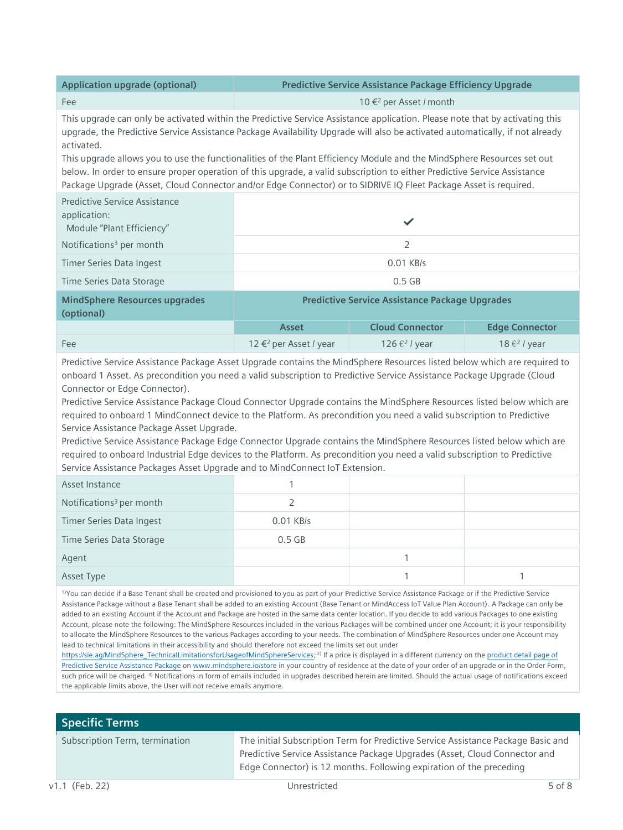| <b>Application upgrade (optional)</b>                                                                                                                                                                                                                                                                                                                                                                                                                                                                                                                                                                                                                |                                                       | Predictive Service Assistance Package Efficiency Upgrade |                                   |
|------------------------------------------------------------------------------------------------------------------------------------------------------------------------------------------------------------------------------------------------------------------------------------------------------------------------------------------------------------------------------------------------------------------------------------------------------------------------------------------------------------------------------------------------------------------------------------------------------------------------------------------------------|-------------------------------------------------------|----------------------------------------------------------|-----------------------------------|
| Fee                                                                                                                                                                                                                                                                                                                                                                                                                                                                                                                                                                                                                                                  | 10 € <sup>2</sup> per Asset / month                   |                                                          |                                   |
| This upgrade can only be activated within the Predictive Service Assistance application. Please note that by activating this<br>upgrade, the Predictive Service Assistance Package Availability Upgrade will also be activated automatically, if not already<br>activated.<br>This upgrade allows you to use the functionalities of the Plant Efficiency Module and the MindSphere Resources set out<br>below. In order to ensure proper operation of this upgrade, a valid subscription to either Predictive Service Assistance<br>Package Upgrade (Asset, Cloud Connector and/or Edge Connector) or to SIDRIVE IQ Fleet Package Asset is required. |                                                       |                                                          |                                   |
| <b>Predictive Service Assistance</b><br>application:<br>Module "Plant Efficiency"                                                                                                                                                                                                                                                                                                                                                                                                                                                                                                                                                                    |                                                       | ✓                                                        |                                   |
| Notifications <sup>3</sup> per month                                                                                                                                                                                                                                                                                                                                                                                                                                                                                                                                                                                                                 | $\overline{2}$                                        |                                                          |                                   |
| Timer Series Data Ingest                                                                                                                                                                                                                                                                                                                                                                                                                                                                                                                                                                                                                             | 0.01 KB/s                                             |                                                          |                                   |
| Time Series Data Storage                                                                                                                                                                                                                                                                                                                                                                                                                                                                                                                                                                                                                             | $0.5$ GB                                              |                                                          |                                   |
| <b>MindSphere Resources upgrades</b><br>(optional)                                                                                                                                                                                                                                                                                                                                                                                                                                                                                                                                                                                                   | <b>Predictive Service Assistance Package Upgrades</b> |                                                          |                                   |
|                                                                                                                                                                                                                                                                                                                                                                                                                                                                                                                                                                                                                                                      | Asset                                                 | <b>Cloud Connector</b>                                   | <b>Edge Connector</b>             |
| Fee                                                                                                                                                                                                                                                                                                                                                                                                                                                                                                                                                                                                                                                  | 12 € <sup>2</sup> per Asset / year                    | 126 $\epsilon$ <sup>2</sup> / year                       | 18 $\epsilon$ <sup>2</sup> / year |
| Predictive Service Assistance Package Asset Upgrade contains the MindSphere Resources listed below which are required to<br>onboard 1 Asset. As precondition you need a valid subscription to Predictive Service Assistance Package Upgrade (Cloud<br>Connector or Edge Connector).<br>Predictive Service Assistance Package Cloud Connector Upgrade contains the MindSphere Resources listed below which are<br>required to onboard 1 MindConnect device to the Platform. As precondition you need a valid subscription to Predictive                                                                                                               |                                                       |                                                          |                                   |

Service Assistance Package Asset Upgrade.

Predictive Service Assistance Package Edge Connector Upgrade contains the MindSphere Resources listed below which are required to onboard Industrial Edge devices to the Platform. As precondition you need a valid subscription to Predictive Service Assistance Packages Asset Upgrade and to MindConnect IoT Extension.

| Asset Instance                       |             |  |
|--------------------------------------|-------------|--|
| Notifications <sup>3</sup> per month |             |  |
| <b>Timer Series Data Ingest</b>      | $0.01$ KB/s |  |
| Time Series Data Storage             | $0.5$ GB    |  |
| Agent                                |             |  |
| Asset Type                           |             |  |

1)You can decide if a Base Tenant shall be created and provisioned to you as part of your Predictive Service Assistance Package or if the Predictive Service Assistance Package without a Base Tenant shall be added to an existing Account (Base Tenant or MindAccess IoT Value Plan Account). A Package can only be added to an existing Account if the Account and Package are hosted in the same data center location. If you decide to add various Packages to one existing Account, please note the following: The MindSphere Resources included in the various Packages will be combined under one Account; it is your responsibility to allocate the MindSphere Resources to the various Packages according to your needs. The combination of MindSphere Resources under one Account may lead to technical limitations in their accessibility and should therefore not exceed the limits set out under

[https://sie.ag/MindSphere\\_TechnicalLimitationsforUsageofMindSphereServices;](https://sie.ag/MindSphere_TechnicalLimitationsforUsageofMindSphereServices)<sup>2)</sup> If a price is displayed in a different currency on the product detail page of [Predictive Service Assistance Package](https://www.dex.siemens.com/mindsphere/applications/predictive-service-assistance-package) o[n www.mindsphere.io/store](http://www.mindsphere.io/store) in your country of residence at the date of your order of an upgrade or in the Order Form, such price will be charged. 3) Notifications in form of emails included in upgrades described herein are limited. Should the actual usage of notifications exceed the applicable limits above, the User will not receive emails anymore.

## **Specific Terms**

Subscription Term, termination The initial Subscription Term for Predictive Service Assistance Package Basic and Predictive Service Assistance Package Upgrades (Asset, Cloud Connector and Edge Connector) is 12 months. Following expiration of the preceding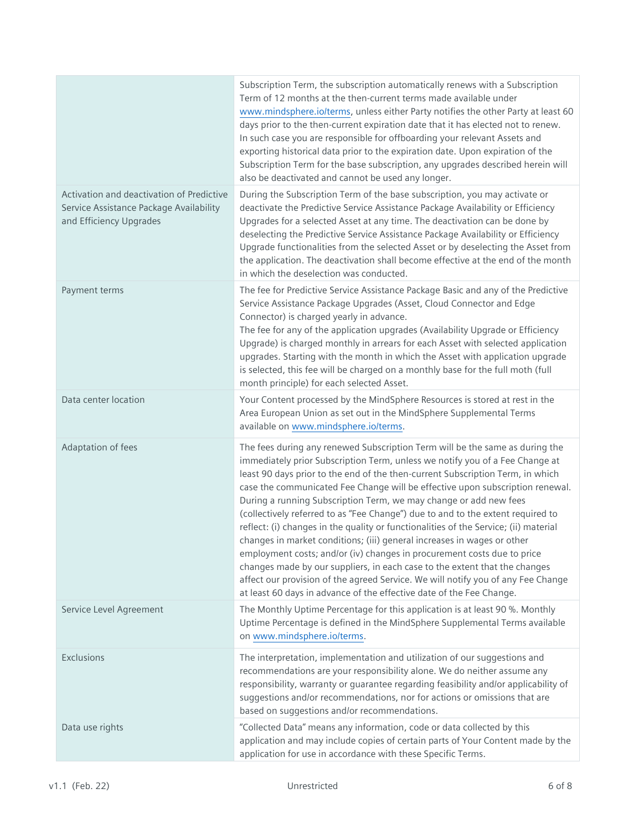|                                                                                                                 | Subscription Term, the subscription automatically renews with a Subscription<br>Term of 12 months at the then-current terms made available under<br>www.mindsphere.io/terms, unless either Party notifies the other Party at least 60<br>days prior to the then-current expiration date that it has elected not to renew.<br>In such case you are responsible for offboarding your relevant Assets and<br>exporting historical data prior to the expiration date. Upon expiration of the<br>Subscription Term for the base subscription, any upgrades described herein will<br>also be deactivated and cannot be used any longer.                                                                                                                                                                                                                                                                                                                                               |
|-----------------------------------------------------------------------------------------------------------------|---------------------------------------------------------------------------------------------------------------------------------------------------------------------------------------------------------------------------------------------------------------------------------------------------------------------------------------------------------------------------------------------------------------------------------------------------------------------------------------------------------------------------------------------------------------------------------------------------------------------------------------------------------------------------------------------------------------------------------------------------------------------------------------------------------------------------------------------------------------------------------------------------------------------------------------------------------------------------------|
| Activation and deactivation of Predictive<br>Service Assistance Package Availability<br>and Efficiency Upgrades | During the Subscription Term of the base subscription, you may activate or<br>deactivate the Predictive Service Assistance Package Availability or Efficiency<br>Upgrades for a selected Asset at any time. The deactivation can be done by<br>deselecting the Predictive Service Assistance Package Availability or Efficiency<br>Upgrade functionalities from the selected Asset or by deselecting the Asset from<br>the application. The deactivation shall become effective at the end of the month<br>in which the deselection was conducted.                                                                                                                                                                                                                                                                                                                                                                                                                              |
| Payment terms                                                                                                   | The fee for Predictive Service Assistance Package Basic and any of the Predictive<br>Service Assistance Package Upgrades (Asset, Cloud Connector and Edge<br>Connector) is charged yearly in advance.<br>The fee for any of the application upgrades (Availability Upgrade or Efficiency<br>Upgrade) is charged monthly in arrears for each Asset with selected application<br>upgrades. Starting with the month in which the Asset with application upgrade<br>is selected, this fee will be charged on a monthly base for the full moth (full<br>month principle) for each selected Asset.                                                                                                                                                                                                                                                                                                                                                                                    |
| Data center location                                                                                            | Your Content processed by the MindSphere Resources is stored at rest in the<br>Area European Union as set out in the MindSphere Supplemental Terms<br>available on www.mindsphere.io/terms.                                                                                                                                                                                                                                                                                                                                                                                                                                                                                                                                                                                                                                                                                                                                                                                     |
| Adaptation of fees                                                                                              | The fees during any renewed Subscription Term will be the same as during the<br>immediately prior Subscription Term, unless we notify you of a Fee Change at<br>least 90 days prior to the end of the then-current Subscription Term, in which<br>case the communicated Fee Change will be effective upon subscription renewal.<br>During a running Subscription Term, we may change or add new fees<br>(collectively referred to as "Fee Change") due to and to the extent required to<br>reflect: (i) changes in the quality or functionalities of the Service; (ii) material<br>changes in market conditions; (iii) general increases in wages or other<br>employment costs; and/or (iv) changes in procurement costs due to price<br>changes made by our suppliers, in each case to the extent that the changes<br>affect our provision of the agreed Service. We will notify you of any Fee Change<br>at least 60 days in advance of the effective date of the Fee Change. |
| Service Level Agreement                                                                                         | The Monthly Uptime Percentage for this application is at least 90 %. Monthly<br>Uptime Percentage is defined in the MindSphere Supplemental Terms available<br>on www.mindsphere.io/terms.                                                                                                                                                                                                                                                                                                                                                                                                                                                                                                                                                                                                                                                                                                                                                                                      |
| Exclusions                                                                                                      | The interpretation, implementation and utilization of our suggestions and<br>recommendations are your responsibility alone. We do neither assume any<br>responsibility, warranty or guarantee regarding feasibility and/or applicability of<br>suggestions and/or recommendations, nor for actions or omissions that are<br>based on suggestions and/or recommendations.                                                                                                                                                                                                                                                                                                                                                                                                                                                                                                                                                                                                        |
| Data use rights                                                                                                 | "Collected Data" means any information, code or data collected by this<br>application and may include copies of certain parts of Your Content made by the<br>application for use in accordance with these Specific Terms.                                                                                                                                                                                                                                                                                                                                                                                                                                                                                                                                                                                                                                                                                                                                                       |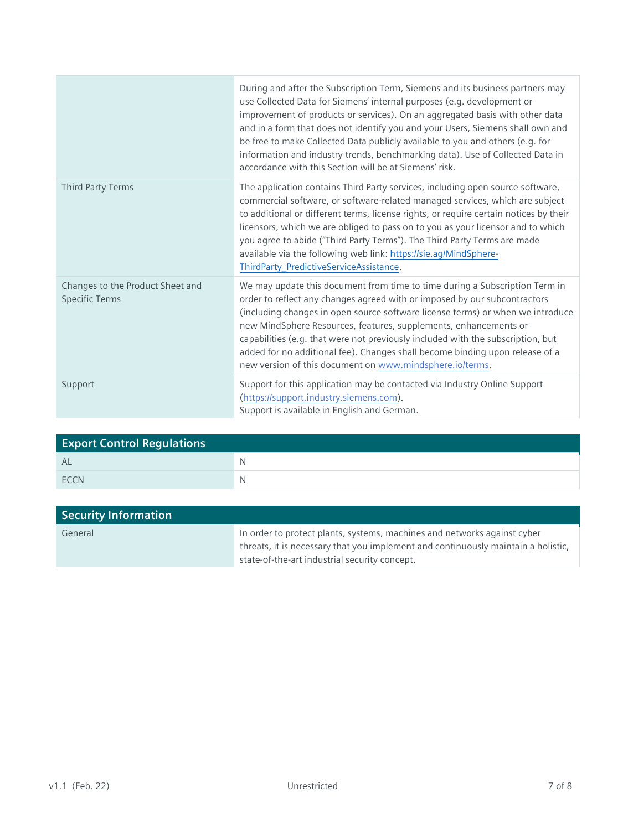|                                                           | During and after the Subscription Term, Siemens and its business partners may<br>use Collected Data for Siemens' internal purposes (e.g. development or<br>improvement of products or services). On an aggregated basis with other data<br>and in a form that does not identify you and your Users, Siemens shall own and<br>be free to make Collected Data publicly available to you and others (e.g. for<br>information and industry trends, benchmarking data). Use of Collected Data in<br>accordance with this Section will be at Siemens' risk. |
|-----------------------------------------------------------|-------------------------------------------------------------------------------------------------------------------------------------------------------------------------------------------------------------------------------------------------------------------------------------------------------------------------------------------------------------------------------------------------------------------------------------------------------------------------------------------------------------------------------------------------------|
| Third Party Terms                                         | The application contains Third Party services, including open source software,<br>commercial software, or software-related managed services, which are subject<br>to additional or different terms, license rights, or require certain notices by their<br>licensors, which we are obliged to pass on to you as your licensor and to which<br>you agree to abide ("Third Party Terms"). The Third Party Terms are made<br>available via the following web link: https://sie.ag/MindSphere-<br>ThirdParty_PredictiveServiceAssistance.                 |
| Changes to the Product Sheet and<br><b>Specific Terms</b> | We may update this document from time to time during a Subscription Term in<br>order to reflect any changes agreed with or imposed by our subcontractors<br>(including changes in open source software license terms) or when we introduce<br>new MindSphere Resources, features, supplements, enhancements or<br>capabilities (e.g. that were not previously included with the subscription, but<br>added for no additional fee). Changes shall become binding upon release of a<br>new version of this document on www.mindsphere.io/terms.         |
| Support                                                   | Support for this application may be contacted via Industry Online Support<br>(https://support.industry.siemens.com).<br>Support is available in English and German.                                                                                                                                                                                                                                                                                                                                                                                   |

| <b>Export Control Regulations</b> |   |  |
|-----------------------------------|---|--|
| <b>AL</b>                         | N |  |
| <b>FCCN</b>                       | N |  |

| <b>Security Information</b> |                                                                                                                                                                                                                |
|-----------------------------|----------------------------------------------------------------------------------------------------------------------------------------------------------------------------------------------------------------|
| General                     | In order to protect plants, systems, machines and networks against cyber<br>threats, it is necessary that you implement and continuously maintain a holistic,<br>state-of-the-art industrial security concept. |